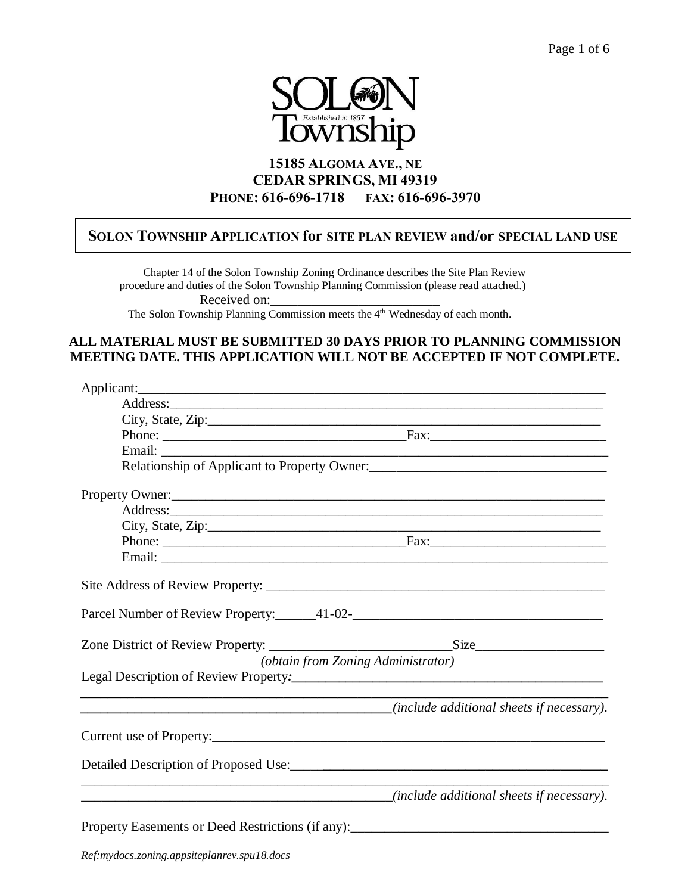

# **15185 ALGOMA AVE., NE CEDAR SPRINGS, MI 49319 PHONE: 616-696-1718 FAX: 616-696-3970**

## **SOLON TOWNSHIP APPLICATION for SITE PLAN REVIEW and/or SPECIAL LAND USE**

 Chapter 14 of the Solon Township Zoning Ordinance describes the Site Plan Review procedure and duties of the Solon Township Planning Commission (please read attached.) Received on: The Solon Township Planning Commission meets the 4<sup>th</sup> Wednesday of each month.

## **ALL MATERIAL MUST BE SUBMITTED 30 DAYS PRIOR TO PLANNING COMMISSION MEETING DATE. THIS APPLICATION WILL NOT BE ACCEPTED IF NOT COMPLETE.**

| Relationship of Applicant to Property Owner:<br><u>Letter Applicant to Property Owner</u>   |  |
|---------------------------------------------------------------------------------------------|--|
| Property Owner:                                                                             |  |
|                                                                                             |  |
|                                                                                             |  |
|                                                                                             |  |
|                                                                                             |  |
|                                                                                             |  |
|                                                                                             |  |
|                                                                                             |  |
| (obtain from Zoning Administrator)                                                          |  |
|                                                                                             |  |
| (include additional sheets if necessary).                                                   |  |
| Current use of Property:                                                                    |  |
| Detailed Description of Proposed Use:                                                       |  |
| <i>directional sheets if necessary</i> ). <i>(include additional sheets if necessary</i> ). |  |
| Property Easements or Deed Restrictions (if any):________________________________           |  |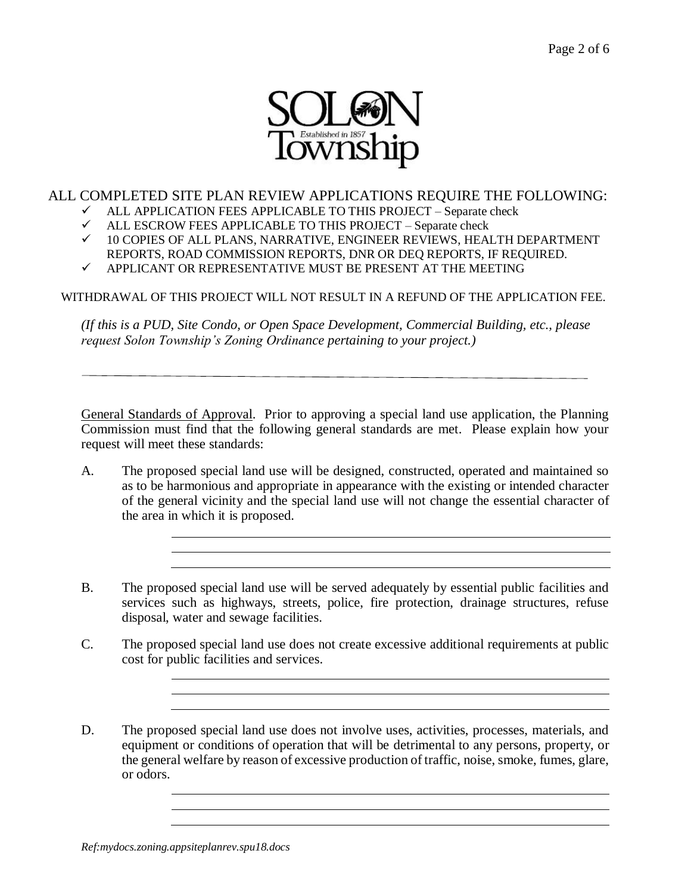

## ALL COMPLETED SITE PLAN REVIEW APPLICATIONS REQUIRE THE FOLLOWING:

- $\checkmark$  ALL APPLICATION FEES APPLICABLE TO THIS PROJECT Separate check
- $\checkmark$  ALL ESCROW FEES APPLICABLE TO THIS PROJECT Separate check
- $\checkmark$  10 COPIES OF ALL PLANS, NARRATIVE, ENGINEER REVIEWS, HEALTH DEPARTMENT REPORTS, ROAD COMMISSION REPORTS, DNR OR DEQ REPORTS, IF REQUIRED.
- $\checkmark$  APPLICANT OR REPRESENTATIVE MUST BE PRESENT AT THE MEETING

WITHDRAWAL OF THIS PROJECT WILL NOT RESULT IN A REFUND OF THE APPLICATION FEE.

*(If this is a PUD, Site Condo, or Open Space Development, Commercial Building, etc., please request Solon Township's Zoning Ordinance pertaining to your project.)*

General Standards of Approval. Prior to approving a special land use application, the Planning Commission must find that the following general standards are met. Please explain how your request will meet these standards:

- A. The proposed special land use will be designed, constructed, operated and maintained so as to be harmonious and appropriate in appearance with the existing or intended character of the general vicinity and the special land use will not change the essential character of the area in which it is proposed.
- B. The proposed special land use will be served adequately by essential public facilities and services such as highways, streets, police, fire protection, drainage structures, refuse disposal, water and sewage facilities.
- C. The proposed special land use does not create excessive additional requirements at public cost for public facilities and services.
- D. The proposed special land use does not involve uses, activities, processes, materials, and equipment or conditions of operation that will be detrimental to any persons, property, or the general welfare by reason of excessive production of traffic, noise, smoke, fumes, glare, or odors.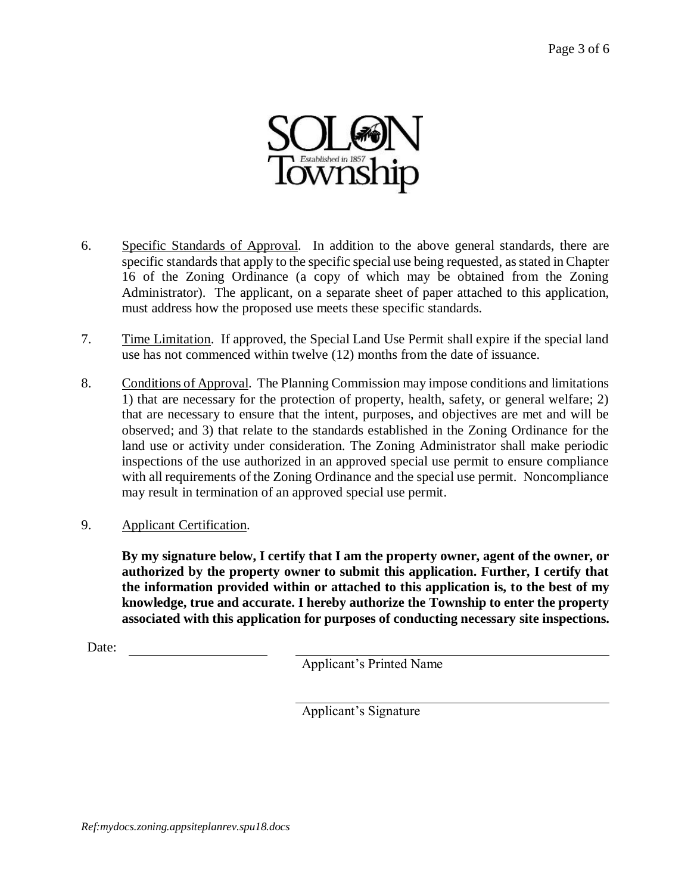

- 6. Specific Standards of Approval. In addition to the above general standards, there are specific standards that apply to the specific special use being requested, as stated in Chapter 16 of the Zoning Ordinance (a copy of which may be obtained from the Zoning Administrator). The applicant, on a separate sheet of paper attached to this application, must address how the proposed use meets these specific standards.
- 7. Time Limitation. If approved, the Special Land Use Permit shall expire if the special land use has not commenced within twelve (12) months from the date of issuance.
- 8. Conditions of Approval. The Planning Commission may impose conditions and limitations 1) that are necessary for the protection of property, health, safety, or general welfare; 2) that are necessary to ensure that the intent, purposes, and objectives are met and will be observed; and 3) that relate to the standards established in the Zoning Ordinance for the land use or activity under consideration. The Zoning Administrator shall make periodic inspections of the use authorized in an approved special use permit to ensure compliance with all requirements of the Zoning Ordinance and the special use permit. Noncompliance may result in termination of an approved special use permit.
- 9. Applicant Certification.

**By my signature below, I certify that I am the property owner, agent of the owner, or authorized by the property owner to submit this application. Further, I certify that the information provided within or attached to this application is, to the best of my knowledge, true and accurate. I hereby authorize the Township to enter the property associated with this application for purposes of conducting necessary site inspections.**

Date:

Applicant's Printed Name

Applicant's Signature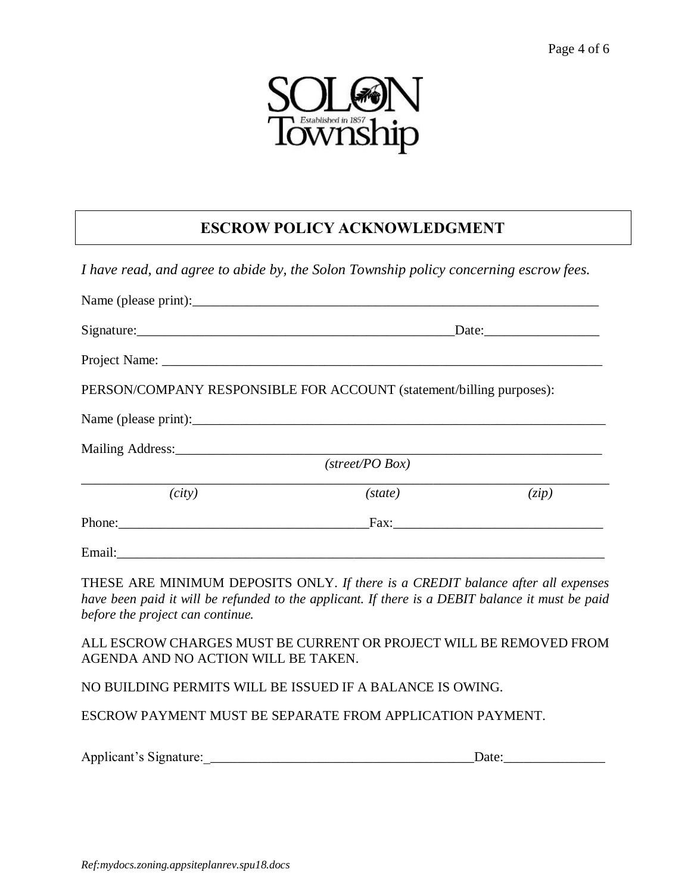

# **ESCROW POLICY ACKNOWLEDGMENT**

*I have read, and agree to abide by, the Solon Township policy concerning escrow fees.*

| Signature:                                                           |         | Date: |  |
|----------------------------------------------------------------------|---------|-------|--|
|                                                                      |         |       |  |
| PERSON/COMPANY RESPONSIBLE FOR ACCOUNT (statement/billing purposes): |         |       |  |
|                                                                      |         |       |  |
|                                                                      |         |       |  |
| $(s \text{treet} / PO \text{Box})$                                   |         |       |  |
| (city)                                                               | (state) | (zip) |  |
| Phone:                                                               |         |       |  |
|                                                                      |         |       |  |

THESE ARE MINIMUM DEPOSITS ONLY. *If there is a CREDIT balance after all expenses have been paid it will be refunded to the applicant. If there is a DEBIT balance it must be paid before the project can continue.*

ALL ESCROW CHARGES MUST BE CURRENT OR PROJECT WILL BE REMOVED FROM AGENDA AND NO ACTION WILL BE TAKEN.

NO BUILDING PERMITS WILL BE ISSUED IF A BALANCE IS OWING.

ESCROW PAYMENT MUST BE SEPARATE FROM APPLICATION PAYMENT.

Applicant's Signature:\_\_\_\_\_\_\_\_\_\_\_\_\_\_\_\_\_\_\_\_\_\_\_\_\_\_\_\_\_\_\_\_\_\_\_\_\_\_\_\_Date:\_\_\_\_\_\_\_\_\_\_\_\_\_\_\_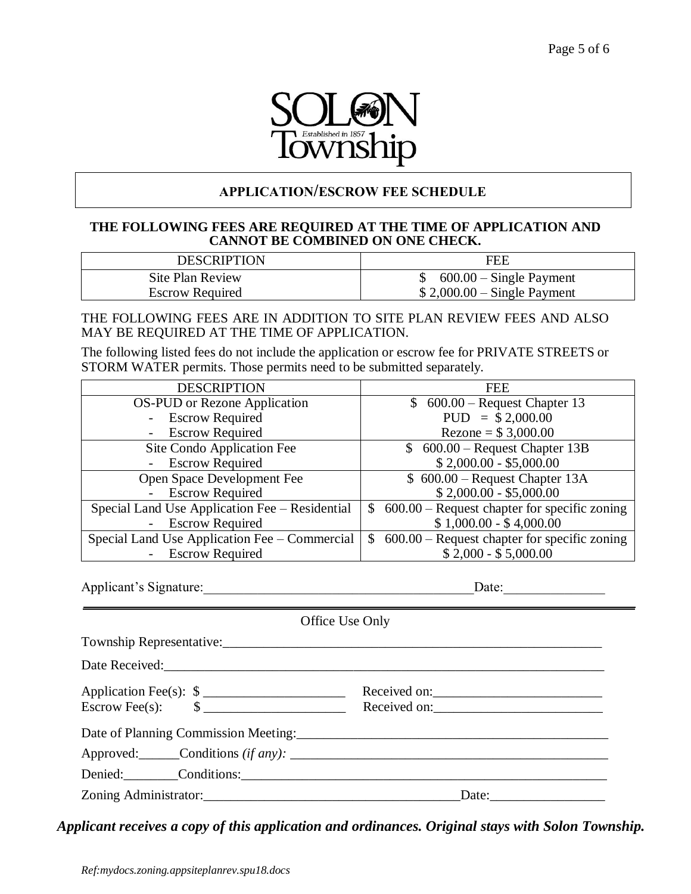

## **APPLICATION/ESCROW FEE SCHEDULE**

## **THE FOLLOWING FEES ARE REQUIRED AT THE TIME OF APPLICATION AND CANNOT BE COMBINED ON ONE CHECK.**

| <b>DESCRIPTION</b>     | FEB                          |
|------------------------|------------------------------|
| Site Plan Review       | $600.00$ – Single Payment    |
| <b>Escrow Required</b> | $$2,000.00 - Single Payment$ |

THE FOLLOWING FEES ARE IN ADDITION TO SITE PLAN REVIEW FEES AND ALSO MAY BE REQUIRED AT THE TIME OF APPLICATION.

The following listed fees do not include the application or escrow fee for PRIVATE STREETS or STORM WATER permits. Those permits need to be submitted separately.

| <b>DESCRIPTION</b>                                 | <b>FEE</b>                                                     |
|----------------------------------------------------|----------------------------------------------------------------|
| <b>OS-PUD</b> or Rezone Application                | $$600.00 - Request Chapter 13$                                 |
| - Escrow Required                                  | $PUD = $2,000.00$                                              |
| <b>Escrow Required</b>                             | Rezone = $$3,000.00$                                           |
| Site Condo Application Fee                         | $$600.00 - Request Chapter 13B$                                |
| <b>Escrow Required</b>                             | $$2,000.00 - $5,000.00$                                        |
| Open Space Development Fee                         | $$600.00 - Request Chapter 13A$                                |
| <b>Escrow Required</b>                             | $$2,000.00 - $5,000.00$                                        |
| Special Land Use Application Fee – Residential     | $600.00$ – Request chapter for specific zoning<br>$\mathbb{S}$ |
| <b>Escrow Required</b>                             | $$1,000.00 - $4,000.00$                                        |
| Special Land Use Application Fee – Commercial      | $600.00$ – Request chapter for specific zoning<br><sup>S</sup> |
| <b>Escrow Required</b><br>$\overline{\phantom{0}}$ | $$2,000 - $5,000.00$                                           |

Applicant's Signature:\_\_\_\_\_\_\_\_\_\_\_\_\_\_\_\_\_\_\_\_\_\_\_\_\_\_\_\_\_\_\_\_\_\_\_\_\_\_\_\_Date:\_\_\_\_\_\_\_\_\_\_\_\_\_\_\_

| Office Use Only                         |                       |  |
|-----------------------------------------|-----------------------|--|
|                                         |                       |  |
|                                         |                       |  |
| Application Fee(s): $\frac{1}{2}$       | Received on:          |  |
| Escrow Fee(s): $\qquad \qquad \$\qquad$ | Received on:          |  |
| Date of Planning Commission Meeting:    |                       |  |
|                                         |                       |  |
| Denied: Conditions:                     |                       |  |
|                                         | Date: $\qquad \qquad$ |  |

 *Applicant receives a copy of this application and ordinances. Original stays with Solon Township.*